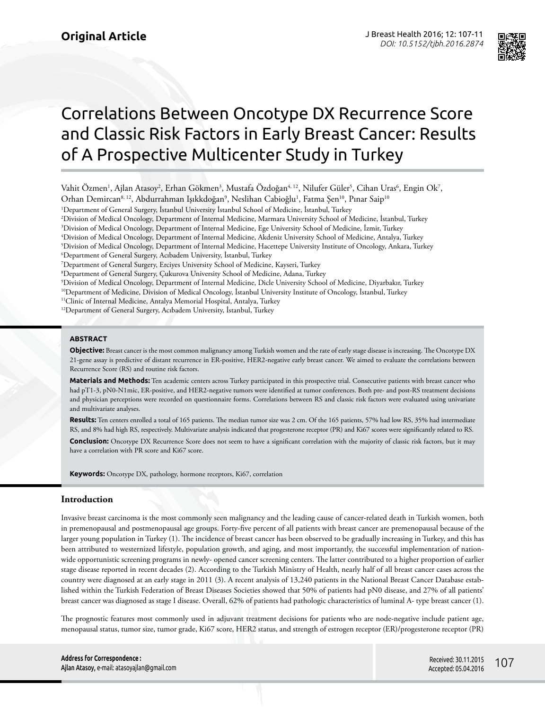

# Correlations Between Oncotype DX Recurrence Score and Classic Risk Factors in Early Breast Cancer: Results of A Prospective Multicenter Study in Turkey

Vahit Özmen<sup>1</sup>, Ajlan Atasoy<sup>2</sup>, Erhan Gökmen<sup>3</sup>, Mustafa Özdoğan<sup>4, 12</sup>, Nilufer Güler<sup>5</sup>, Cihan Uras<sup>6</sup>, Engin Ok<sup>7</sup>, Orhan Demircan<sup>8, 12</sup>, Abdurrahman Işıkkdoğan<sup>9</sup>, Neslihan Cabioğlu<sup>1</sup>, Fatma Şen<sup>10</sup>, Pınar Saip<sup>10</sup>

1 Department of General Surgery, İstanbul University İstanbul School of Medicine, İstanbul, Turkey

2 Division of Medical Oncology, Department of Internal Medicine, Marmara University School of Medicine, İstanbul, Turkey

3 Division of Medical Oncology, Department of Internal Medicine, Ege University School of Medicine, İzmir, Turkey

4 Division of Medical Oncology, Department of Internal Medicine, Akdeniz University School of Medicine, Antalya, Turkey

5 Division of Medical Oncology, Department of Internal Medicine, Hacettepe University Institute of Oncology, Ankara, Turkey

7 Department of General Surgery, Erciyes University School of Medicine, Kayseri, Turkey

8 Department of General Surgery, Çukurova University School of Medicine, Adana, Turkey

9 Division of Medical Oncology, Department of Internal Medicine, Dicle University School of Medicine, Diyarbakır, Turkey

10Department of Medicine, Division of Medical Oncology, İstanbul University Institute of Oncology, İstanbul, Turkey

<sup>11</sup>Clinic of Internal Medicine, Antalya Memorial Hospital, Antalya, Turkey

12Department of General Surgery, Acıbadem University, İstanbul, Turkey

#### **ABSTRACT**

**Objective:** Breast cancer is the most common malignancy among Turkish women and the rate of early stage disease is increasing. The Oncotype DX 21-gene assay is predictive of distant recurrence in ER-positive, HER2-negative early breast cancer. We aimed to evaluate the correlations between Recurrence Score (RS) and routine risk factors.

**Materials and Methods:** Ten academic centers across Turkey participated in this prospective trial. Consecutive patients with breast cancer who had pT1-3, pN0-N1mic, ER-positive, and HER2-negative tumors were identified at tumor conferences. Both pre- and post-RS treatment decisions and physician perceptions were recorded on questionnaire forms. Correlations between RS and classic risk factors were evaluated using univariate and multivariate analyses.

**Results:** Ten centers enrolled a total of 165 patients. The median tumor size was 2 cm. Of the 165 patients, 57% had low RS, 35% had intermediate RS, and 8% had high RS, respectively. Multivariate analysis indicated that progesterone receptor (PR) and Ki67 scores were significantly related to RS.

**Conclusion:** Oncotype DX Recurrence Score does not seem to have a significant correlation with the majority of classic risk factors, but it may have a correlation with PR score and Ki67 score.

**Keywords:** Oncotype DX, pathology, hormone receptors, Ki67, correlation

### **Introduction**

Invasive breast carcinoma is the most commonly seen malignancy and the leading cause of cancer-related death in Turkish women, both in premenopausal and postmenopausal age groups. Forty-five percent of all patients with breast cancer are premenopausal because of the larger young population in Turkey (1). The incidence of breast cancer has been observed to be gradually increasing in Turkey, and this has been attributed to westernized lifestyle, population growth, and aging, and most importantly, the successful implementation of nationwide opportunistic screening programs in newly- opened cancer screening centers. The latter contributed to a higher proportion of earlier stage disease reported in recent decades (2). According to the Turkish Ministry of Health, nearly half of all breast cancer cases across the country were diagnosed at an early stage in 2011 (3). A recent analysis of 13,240 patients in the National Breast Cancer Database established within the Turkish Federation of Breast Diseases Societies showed that 50% of patients had pN0 disease, and 27% of all patients' breast cancer was diagnosed as stage I disease. Overall, 62% of patients had pathologic characteristics of luminal A- type breast cancer (1).

The prognostic features most commonly used in adjuvant treatment decisions for patients who are node-negative include patient age, menopausal status, tumor size, tumor grade, Ki67 score, HER2 status, and strength of estrogen receptor (ER)/progesterone receptor (PR)

<sup>6</sup> Department of General Surgery, Acıbadem University, İstanbul, Turkey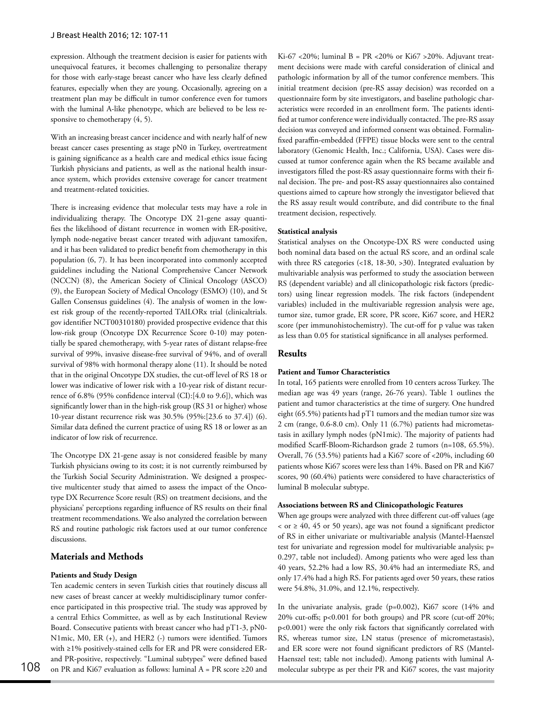expression. Although the treatment decision is easier for patients with unequivocal features, it becomes challenging to personalize therapy for those with early-stage breast cancer who have less clearly defined features, especially when they are young. Occasionally, agreeing on a treatment plan may be difficult in tumor conference even for tumors with the luminal A-like phenotype, which are believed to be less responsive to chemotherapy  $(4, 5)$ .

With an increasing breast cancer incidence and with nearly half of new breast cancer cases presenting as stage pN0 in Turkey, overtreatment is gaining significance as a health care and medical ethics issue facing Turkish physicians and patients, as well as the national health insurance system, which provides extensive coverage for cancer treatment and treatment-related toxicities.

There is increasing evidence that molecular tests may have a role in individualizing therapy. The Oncotype DX 21-gene assay quantifies the likelihood of distant recurrence in women with ER-positive, lymph node-negative breast cancer treated with adjuvant tamoxifen, and it has been validated to predict benefit from chemotherapy in this population (6, 7). It has been incorporated into commonly accepted guidelines including the National Comprehensive Cancer Network (NCCN) (8), the American Society of Clinical Oncology (ASCO) (9), the European Society of Medical Oncology (ESMO) (10), and St Gallen Consensus guidelines (4). The analysis of women in the lowest risk group of the recently-reported TAILORx trial (clinicaltrials. gov identifier NCT00310180) provided prospective evidence that this low-risk group (Oncotype DX Recurrence Score 0-10) may potentially be spared chemotherapy, with 5-year rates of distant relapse-free survival of 99%, invasive disease-free survival of 94%, and of overall survival of 98% with hormonal therapy alone (11). It should be noted that in the original Oncotype DX studies, the cut-off level of RS 18 or lower was indicative of lower risk with a 10-year risk of distant recurrence of 6.8% (95% confidence interval (CI):[4.0 to 9.6]), which was significantly lower than in the high-risk group (RS 31 or higher) whose 10-year distant recurrence risk was 30.5% (95%:[23.6 to 37.4]) (6). Similar data defined the current practice of using RS 18 or lower as an indicator of low risk of recurrence.

The Oncotype DX 21-gene assay is not considered feasible by many Turkish physicians owing to its cost; it is not currently reimbursed by the Turkish Social Security Administration. We designed a prospective multicenter study that aimed to assess the impact of the Oncotype DX Recurrence Score result (RS) on treatment decisions, and the physicians' perceptions regarding influence of RS results on their final treatment recommendations. We also analyzed the correlation between RS and routine pathologic risk factors used at our tumor conference discussions.

## **Materials and Methods**

### **Patients and Study Design**

Ten academic centers in seven Turkish cities that routinely discuss all new cases of breast cancer at weekly multidisciplinary tumor conference participated in this prospective trial. The study was approved by a central Ethics Committee, as well as by each Institutional Review Board. Consecutive patients with breast cancer who had pT1-3, pN0- N1mic, M0, ER (+), and HER2 (-) tumors were identified. Tumors with ≥1% positively-stained cells for ER and PR were considered ERand PR-positive, respectively. "Luminal subtypes" were defined based

Ki-67 <20%; luminal B = PR <20% or Ki67 >20%. Adjuvant treatment decisions were made with careful consideration of clinical and pathologic information by all of the tumor conference members. This initial treatment decision (pre-RS assay decision) was recorded on a questionnaire form by site investigators, and baseline pathologic characteristics were recorded in an enrollment form. The patients identified at tumor conference were individually contacted. The pre-RS assay decision was conveyed and informed consent was obtained. Formalinfixed paraffin-embedded (FFPE) tissue blocks were sent to the central laboratory (Genomic Health, Inc.; California, USA). Cases were discussed at tumor conference again when the RS became available and investigators filled the post-RS assay questionnaire forms with their final decision. The pre- and post-RS assay questionnaires also contained questions aimed to capture how strongly the investigator believed that the RS assay result would contribute, and did contribute to the final treatment decision, respectively.

#### **Statistical analysis**

Statistical analyses on the Oncotype-DX RS were conducted using both nominal data based on the actual RS score, and an ordinal scale with three RS categories (<18, 18-30, >30). Integrated evaluation by multivariable analysis was performed to study the association between RS (dependent variable) and all clinicopathologic risk factors (predictors) using linear regression models. The risk factors (independent variables) included in the multivariable regression analysis were age, tumor size, tumor grade, ER score, PR score, Ki67 score, and HER2 score (per immunohistochemistry). The cut-off for p value was taken as less than 0.05 for statistical significance in all analyses performed.

## **Results**

## **Patient and Tumor Characteristics**

In total, 165 patients were enrolled from 10 centers across Turkey. The median age was 49 years (range, 26-76 years). Table 1 outlines the patient and tumor characteristics at the time of surgery. One hundred eight (65.5%) patients had pT1 tumors and the median tumor size was 2 cm (range, 0.6-8.0 cm). Only 11 (6.7%) patients had micrometastasis in axillary lymph nodes (pN1mic). The majority of patients had modified Scarff-Bloom-Richardson grade 2 tumors (n=108, 65.5%). Overall, 76 (53.5%) patients had a Ki67 score of <20%, including 60 patients whose Ki67 scores were less than 14%. Based on PR and Ki67 scores, 90 (60.4%) patients were considered to have characteristics of luminal B molecular subtype.

### **Associations between RS and Clinicopathologic Features**

When age groups were analyzed with three different cut-off values (age < or ≥ 40, 45 or 50 years), age was not found a significant predictor of RS in either univariate or multivariable analysis (Mantel-Haenszel test for univariate and regression model for multivariable analysis; p= 0.297, table not included). Among patients who were aged less than 40 years, 52.2% had a low RS, 30.4% had an intermediate RS, and only 17.4% had a high RS. For patients aged over 50 years, these ratios were 54.8%, 31.0%, and 12.1%, respectively.

on PR and Ki67 evaluation as follows: luminal A = PR score ≥20 and molecular subtype as per their PR and Ki67 scores, the vast majority In the univariate analysis, grade (p=0.002), Ki67 score (14% and 20% cut-offs; p<0.001 for both groups) and PR score (cut-off 20%; p<0.001) were the only risk factors that significantly correlated with RS, whereas tumor size, LN status (presence of micrometastasis), and ER score were not found significant predictors of RS (Mantel-Haenszel test; table not included). Among patients with luminal A-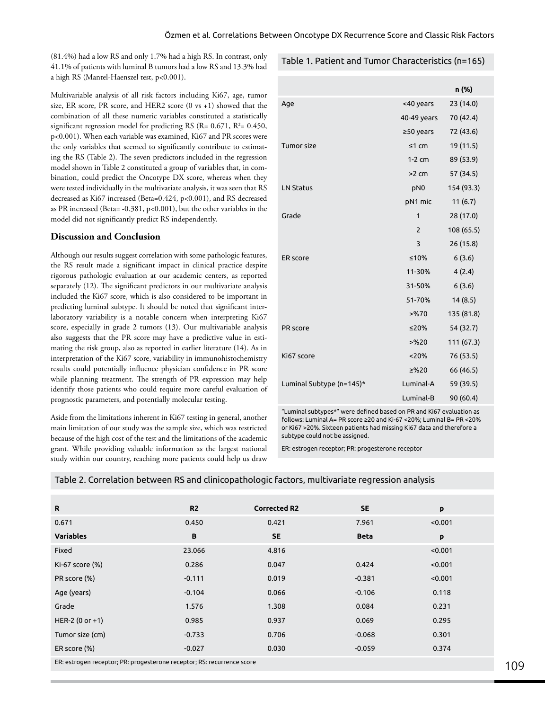(81.4%) had a low RS and only 1.7% had a high RS. In contrast, only 41.1% of patients with luminal B tumors had a low RS and 13.3% had a high RS (Mantel-Haenszel test, p<0.001).

Multivariable analysis of all risk factors including Ki67, age, tumor size, ER score, PR score, and HER2 score (0 vs +1) showed that the combination of all these numeric variables constituted a statistically significant regression model for predicting RS (R=  $0.671$ , R<sup>2</sup>=  $0.450$ , p<0.001). When each variable was examined, Ki67 and PR scores were the only variables that seemed to significantly contribute to estimating the RS (Table 2). The seven predictors included in the regression model shown in Table 2 constituted a group of variables that, in combination, could predict the Oncotype DX score, whereas when they were tested individually in the multivariate analysis, it was seen that RS decreased as Ki67 increased (Beta=0.424, p<0.001), and RS decreased as PR increased (Beta= -0.381, p<0.001), but the other variables in the model did not significantly predict RS independently.

## **Discussion and Conclusion**

Although our results suggest correlation with some pathologic features, the RS result made a significant impact in clinical practice despite rigorous pathologic evaluation at our academic centers, as reported separately (12). The significant predictors in our multivariate analysis included the Ki67 score, which is also considered to be important in predicting luminal subtype. It should be noted that significant interlaboratory variability is a notable concern when interpreting Ki67 score, especially in grade 2 tumors (13). Our multivariable analysis also suggests that the PR score may have a predictive value in estimating the risk group, also as reported in earlier literature (14). As in interpretation of the Ki67 score, variability in immunohistochemistry results could potentially influence physician confidence in PR score while planning treatment. The strength of PR expression may help identify those patients who could require more careful evaluation of prognostic parameters, and potentially molecular testing.

Aside from the limitations inherent in Ki67 testing in general, another main limitation of our study was the sample size, which was restricted because of the high cost of the test and the limitations of the academic grant. While providing valuable information as the largest national study within our country, reaching more patients could help us draw

## Table 1. Patient and Tumor Characteristics (n=165)

|                          |                 | n (%)      |
|--------------------------|-----------------|------------|
| Age                      | <40 years       | 23 (14.0)  |
|                          | 40-49 years     | 70 (42.4)  |
|                          | $≥50$ years     | 72 (43.6)  |
| Tumor size               | $≤1$ cm         | 19 (11.5)  |
|                          | $1-2$ cm        | 89 (53.9)  |
|                          | $>2$ cm         | 57 (34.5)  |
| <b>LN Status</b>         | pN <sub>0</sub> | 154 (93.3) |
|                          | pN1 mic         | 11(6.7)    |
| Grade                    | 1               | 28 (17.0)  |
|                          | $\overline{2}$  | 108 (65.5) |
|                          | 3               | 26(15.8)   |
| <b>ER</b> score          | ≤10%            | 6(3.6)     |
|                          | 11-30%          | 4(2.4)     |
|                          | 31-50%          | 6(3.6)     |
|                          | 51-70%          | 14(8.5)    |
|                          | >9670           | 135 (81.8) |
| PR score                 | ≤20%            | 54 (32.7)  |
|                          | $>$ %20         | 111 (67.3) |
| Ki67 score               | < 20%           | 76 (53.5)  |
|                          | > 20            | 66 (46.5)  |
| Luminal Subtype (n=145)* | Luminal-A       | 59 (39.5)  |
|                          | Luminal-B       | 90 (60.4)  |

"Luminal subtypes\*" were defined based on PR and Ki67 evaluation as follows: Luminal A= PR score ≥20 and Ki-67 <20%; Luminal B= PR <20% or Ki67 >20%. Sixteen patients had missing Ki67 data and therefore a subtype could not be assigned.

ER: estrogen receptor; PR: progesterone receptor

|  |  |  |  | Table 2. Correlation between RS and clinicopathologic factors, multivariate regression analysis |  |
|--|--|--|--|-------------------------------------------------------------------------------------------------|--|
|  |  |  |  |                                                                                                 |  |

| R                                                                      | R <sub>2</sub> | <b>Corrected R2</b> | <b>SE</b>   | p       |
|------------------------------------------------------------------------|----------------|---------------------|-------------|---------|
| 0.671                                                                  | 0.450          | 0.421               | 7.961       | < 0.001 |
| <b>Variables</b>                                                       | B              | <b>SE</b>           | <b>Beta</b> | p       |
| Fixed                                                                  | 23.066         | 4.816               |             | < 0.001 |
| Ki-67 score (%)                                                        | 0.286          | 0.047               | 0.424       | < 0.001 |
| PR score (%)                                                           | $-0.111$       | 0.019               | $-0.381$    | < 0.001 |
| Age (years)                                                            | $-0.104$       | 0.066               | $-0.106$    | 0.118   |
| Grade                                                                  | 1.576          | 1.308               | 0.084       | 0.231   |
| HER-2 $(0 or +1)$                                                      | 0.985          | 0.937               | 0.069       | 0.295   |
| Tumor size (cm)                                                        | $-0.733$       | 0.706               | $-0.068$    | 0.301   |
| ER score (%)                                                           | $-0.027$       | 0.030               | $-0.059$    | 0.374   |
| ER: estrogen receptor; PR: progesterone receptor; RS: recurrence score |                |                     |             |         |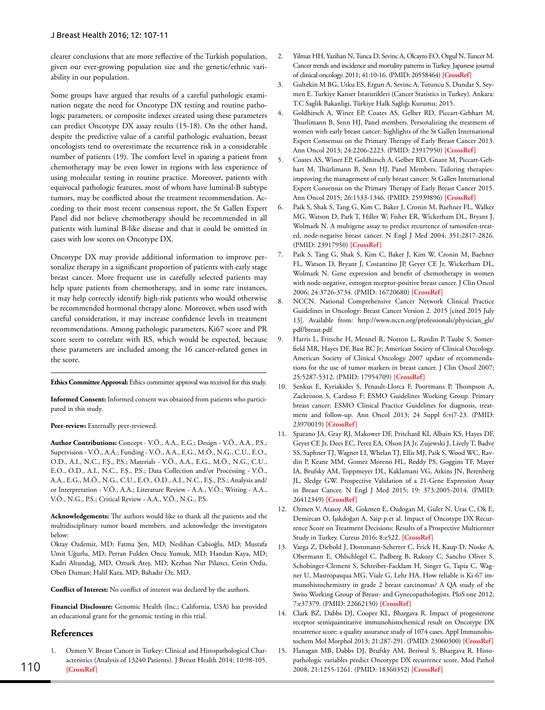clearer conclusions that are more reflective of the Turkish population, given our ever-growing population size and the genetic/ethnic variability in our population.

Some groups have argued that results of a careful pathologic examination negate the need for Oncotype DX testing and routine pathologic parameters, or composite indexes created using these parameters can predict Oncotype DX assay results (15-18). On the other hand, despite the predictive value of a careful pathologic evaluation, breast oncologists tend to overestimate the recurrence risk in a considerable number of patients (19). The comfort level in sparing a patient from chemotherapy may be even lower in regions with less experience of using molecular testing in routine practice. Moreover, patients with equivocal pathologic features, most of whom have luminal-B subtype tumors, may be conflicted about the treatment recommendation. According to their most recent consensus report, the St Gallen Expert Panel did not believe chemotherapy should be recommended in all patients with luminal B-like disease and that it could be omitted in cases with low scores on Oncotype DX.

Oncotype DX may provide additional information to improve personalize therapy in a significant proportion of patients with early stage breast cancer. More frequent use in carefully selected patients may help spare patients from chemotherapy, and in some rare instances, it may help correctly identify high-risk patients who would otherwise be recommended hormonal therapy alone. Moreover, when used with careful consideration, it may increase confidence levels in treatment recommendations. Among pathologic parameters, Ki67 score and PR score seem to correlate with RS, which would be expected, because these parameters are included among the 16 cancer-related genes in the score.

**Ethics Committee Approval:** Ethics committee approval was received for this study.

**Informed Consent:** Informed consent was obtained from patients who participated in this study.

#### Peer-review: Externally peer-reviewed.

**Author Contributions:** Concept - V.Ö., A.A., E.G.; Design - V.Ö., A.A., P.S.; Supervision - V.Ö., A.A.; Funding - V.Ö., A.A., E.G., M.Ö., N.G., C.U., E.O., O.D., A.I., N.C., F.Ş., P.S.; Materials - V.Ö., A.A., E.G., M.Ö., N.G., C.U., E.O., O.D., A.I., N.C., F.Ş., P.S.; Data Collection and/or Processing - V.Ö., A.A., E.G., M.Ö., N.G., C.U., E.O., O.D., A.I., N.C., F.Ş., P.S.; Analysis and/ or Interpretation - V.Ö., A.A.; Literature Review - A.A., V.Ö.; Writing - A.A., V.Ö., N.G., P.S.; Critical Review - A.A., V.Ö., N.G., P.S.

**Acknowledgements:** The authors would like to thank all the patients and the multidisciplinary tumor board members, and acknowledge the investigators below:

Oktay Ozdemir, MD; Fatma Şen, MD; Neslihan Cabioğlu, MD; Mustafa Umit Uğurlu, MD; Perran Fulden Oncu Yumuk, MD; Handan Kaya, MD; Kadri Altundağ, MD, Ozturk Ateş, MD; Kezban Nur Pilancı, Cetin Ordu, Oben Duman; Halil Kara, MD; Bahadır Oz, MD.

**Conflict of Interest:** No conflict of interest was declared by the authors.

**Financial Disclosure:** Genomic Health (Inc.; California, USA) has provided an educational grant for the genomic testing in this trial.

### **References**

1. Ozmen V. Breast Cancer in Turkey: Clinical and Histopathological Characteristics (Analysis of 13240 Patients). J Breast Health 2014; 10:98-105. **[\[CrossRef\]](http://dx.doi.org/10.5152/tjbh.2014.1988)** 110 2008; 21:1255-1261. (PMID: 18360352) **[[CrossRef\]](http://dx.doi.org/10.1038/modpathol.2008.54)**

- 2. Yilmaz HH, Yazihan N, Tunca D, Sevinc A, Olcayto EO, Ozgul N, Tuncer M. Cancer trends and incidence and mortality patterns in Turkey. Japanese journal of clinical oncology. 2011; 41:10-16. (PMID: 20558464) **[\[CrossRef](http://dx.doi.org/10.1093/jjco/hyq075)]**
- 3. Gultekin M BG, Utku ES, Ergun A, Sevinc A, Tutuncu S, Dundar S, Seymen E. Turkiye Kanser Istatistikleri (Cancer Statistics in Turkey). Ankara: T.C Saglik Bakanligi, Türkiye Halk Sağlığı Kurumu; 2015.
- 4. Goldhirsch A, Winer EP, Coates AS, Gelber RD, Piccart-Gebhart M, Thurlimann B, Senn HJ, Panel members. Personalizing the treatment of women with early breast cancer: highlights of the St Gallen International Expert Consensus on the Primary Therapy of Early Breast Cancer 2013. [Ann Oncol](http://www.ncbi.nlm.nih.gov/pubmed/?term=23917950) 2013; 24:2206-2223. (PMID: 23917950) **[[CrossRef\]](http://dx.doi.org/10.1093/annonc/mdt303)**
- 5. Coates AS, Winer EP, Goldhirsch A, Gelber RD, Gnant M, Piccart-Gebhart M, Thürlimann B, Senn HJ, Panel Members. Tailoring therapiesimproving the management of early breast cancer: St Gallen International Expert Consensus on the Primary Therapy of Early Breast Cancer 2015. Ann Oncol 2015; 26:1533-1346. (PMID: 25939896) **[[CrossRef\]](http://dx.doi.org/10.1093/annonc/mdv221)**
- 6. Paik S, Shak S, Tang G, Kim C, Baker J, Cronin M, Baehner FL, Walker MG, Watson D, Park T, Hiller W, Fisher ER, Wickerham DL, Bryant J, Wolmark N. A multigene assay to predict recurrence of tamoxifen-treated, node-negative breast cancer. N Engl J Med 2004; 351:2817-2826. (PMID: 23917950) **[\[CrossRef](http://dx.doi.org/10.1056/NEJMoa041588)]**
- 7. Paik S, Tang G, Shak S, Kim C, Baker J, Kim W, Cronin M, Baehner FL, Watson D, Bryant J, Costantino JP, Geyer CE Jr, Wickerham DL, Wolmark N. Gene expression and benefit of chemotherapy in women with node-negative, estrogen receptor-positive breast cancer. J Clin Oncol 2006; 24:3726-3734. (PMID: 16720680) **[[CrossRef\]](http://dx.doi.org/10.1200/JCO.2005.04.7985)**
- 8. NCCN. National Comprehensive Cancer Network Clinical Practice Guidelines in Oncology: Breast Cancer Version 2. 2015 [cited 2015 July 13]. Available from: http://www.nccn.org/professionals/physician\_gls/ pdf/breast.pdf.
- 9. Harris L, Fritsche H, Mennel R, Norton L, Ravdin P, Taube S, Somerfield MR, Hayes DF, Bast RC Jr; American Society of Clinical Oncology. American Society of Clinical Oncology 2007 update of recommendations for the use of tumor markers in breast cancer. J Clin Oncol 2007; 25:5287-5312. (PMID: 17954709) **[[CrossRef\]](http://dx.doi.org/10.1200/JCO.2007.14.2364)**
- 10. Senkus E, Kyriakides S, Penault-Llorca F, Poortmans P, Thompson A, Zackrisson S, Cardoso F; ESMO Guidelines Working Group. Primary breast cancer: ESMO Clinical Practice Guidelines for diagnosis, treatment and follow-up. Ann Oncol 2013; 24 Suppl 6:vi7-23. (PMID: 23970019) **[\[CrossRef](http://dx.doi.org/10.1093/annonc/mdt284)]**
- 11. Sparano JA, Gray RJ, Makower DF, Pritchard KI, Albain KS, Hayes DF, Geyer CE Jr, Dees EC, Perez EA, Olson JA Jr, Zujewski J, Lively T, Badve SS, Saphner TJ, Wagner LI, Whelan TJ, Ellis MJ, Paik S, Wood WC, Ravdin P, Keane MM, Gomez Moreno HL, Reddy PS, Goggins TF, Mayer IA, Brufsky AM, Toppmeyer DL, Kaklamani VG, Atkins JN, Berenberg JL, Sledge GW. Prospective Validation of a 21-Gene Expression Assay in Breast Cancer. N Engl J Med 2015; 19: 373:2005-2014. (PMID: 26412349) **[\[CrossRef](http://dx.doi.org/10.1056/NEJMoa1510764)]**
- 12. Ozmen V, Atasoy AR, Gokmen E, Ozdogan M, Guler N, Uras C, Ok E, Demircan O, Işıkdoğan A, Saip p.et al. Impact of Oncotype DX Recurrence Score on Treatment Decisions: Results of a Prospective Multicenter Study in Turkey. Cureus 2016; 8:e522. **[\[CrossRef](http://dx.doi.org/10.7759/cureus.522)]**
- 13. Varga Z, Diebold J, Dommann-Scherrer C, Frick H, Kaup D, Noske A, Obermann E, Ohlschlegel C, Padberg B, Rakozy C, Sancho Oliver S, Schobinger-Clement S, Schreiber-Facklam H, Singer G, Tapia C, Wagner U, Mastropasqua MG, Viale G, Lehr HA. How reliable is Ki-67 immunohistochemistry in grade 2 breast carcinomas? A QA study of the Swiss Working Group of Breast- and Gynecopathologists. PloS one 2012; 7:e37379. (PMID: 22662150) **[\[CrossRef\]](http://dx.doi.org/10.1371/journal.pone.0037379)**
- 14. Clark BZ, Dabbs DJ, Cooper KL, Bhargava R. Impact of progesterone receptor semiquantitative immunohistochemical result on Oncotype DX recurrence score: a quality assurance study of 1074 cases. Appl Immunohistochem Mol Morphol 2013; 21:287-291. (PMID: 23060300) **[\[CrossRef\]](http://dx.doi.org/10.1097/PAI.0b013e31826f80c9)**
- 15. Flanagan MB, Dabbs DJ, Brufsky AM, Beriwal S, Bhargava R. Histopathologic variables predict Oncotype DX recurrence score. Mod Pathol